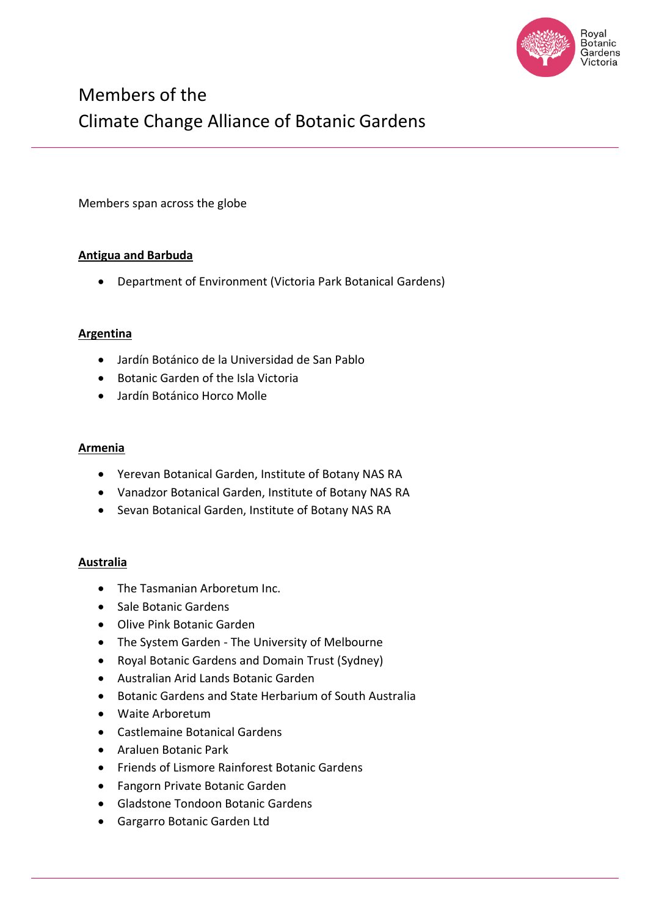

# Members of the Climate Change Alliance of Botanic Gardens

Members span across the globe

## **Antigua and Barbuda**

• Department of Environment (Victoria Park Botanical Gardens)

#### **Argentina**

- Jardín Botánico de la Universidad de San Pablo
- Botanic Garden of the Isla Victoria
- Jardín Botánico Horco Molle

#### **Armenia**

- Yerevan Botanical Garden, Institute of Botany NAS RA
- Vanadzor Botanical Garden, Institute of Botany NAS RA
- Sevan Botanical Garden, Institute of Botany NAS RA

#### **Australia**

- The Tasmanian Arboretum Inc.
- Sale Botanic Gardens
- Olive Pink Botanic Garden
- The System Garden The University of Melbourne
- Royal Botanic Gardens and Domain Trust (Sydney)
- Australian Arid Lands Botanic Garden
- Botanic Gardens and State Herbarium of South Australia
- Waite Arboretum
- Castlemaine Botanical Gardens
- Araluen Botanic Park
- Friends of Lismore Rainforest Botanic Gardens
- Fangorn Private Botanic Garden
- Gladstone Tondoon Botanic Gardens
- Gargarro Botanic Garden Ltd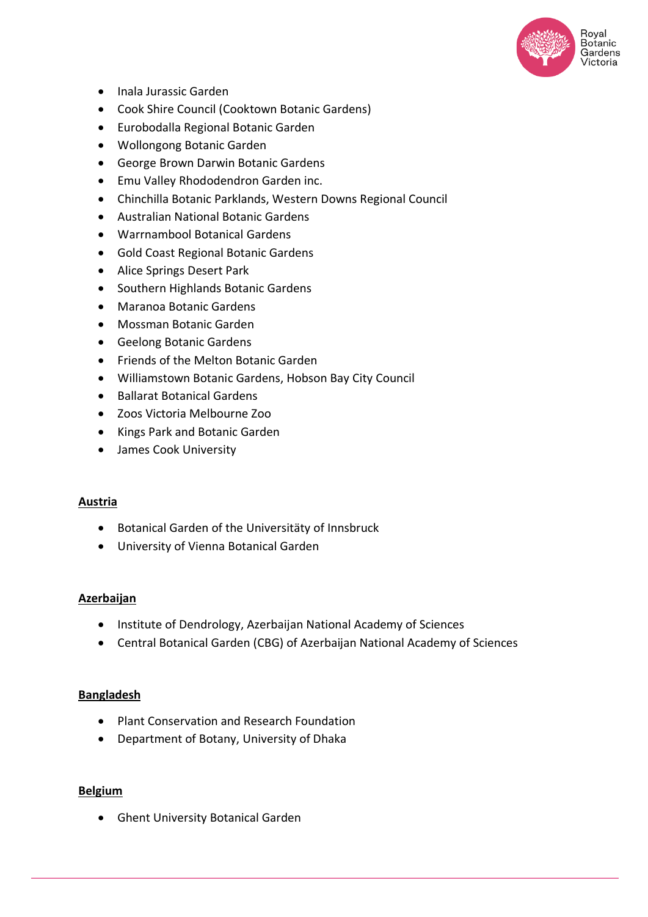

- Inala Jurassic Garden
- Cook Shire Council (Cooktown Botanic Gardens)
- Eurobodalla Regional Botanic Garden
- Wollongong Botanic Garden
- George Brown Darwin Botanic Gardens
- Emu Valley Rhododendron Garden inc.
- Chinchilla Botanic Parklands, Western Downs Regional Council
- Australian National Botanic Gardens
- Warrnambool Botanical Gardens
- Gold Coast Regional Botanic Gardens
- Alice Springs Desert Park
- Southern Highlands Botanic Gardens
- Maranoa Botanic Gardens
- Mossman Botanic Garden
- Geelong Botanic Gardens
- Friends of the Melton Botanic Garden
- Williamstown Botanic Gardens, Hobson Bay City Council
- Ballarat Botanical Gardens
- Zoos Victoria Melbourne Zoo
- Kings Park and Botanic Garden
- James Cook University

#### **Austria**

- Botanical Garden of the Universitäty of Innsbruck
- University of Vienna Botanical Garden

#### **Azerbaijan**

- Institute of Dendrology, Azerbaijan National Academy of Sciences
- Central Botanical Garden (CBG) of Azerbaijan National Academy of Sciences

#### **Bangladesh**

- Plant Conservation and Research Foundation
- Department of Botany, University of Dhaka

#### **Belgium**

• Ghent University Botanical Garden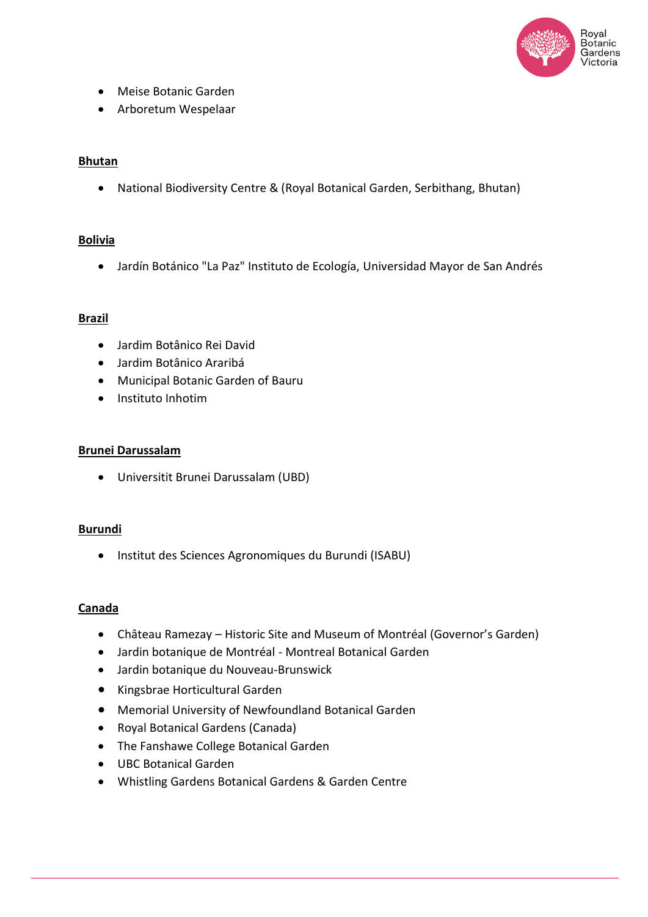

- Meise Botanic Garden
- Arboretum Wespelaar

## **Bhutan**

• National Biodiversity Centre & (Royal Botanical Garden, Serbithang, Bhutan)

## **Bolivia**

• Jardín Botánico "La Paz" Instituto de Ecología, Universidad Mayor de San Andrés

#### **Brazil**

- Jardim Botânico Rei David
- Jardim Botânico Araribá
- Municipal Botanic Garden of Bauru
- Instituto Inhotim

#### **Brunei Darussalam**

• Universitit Brunei Darussalam (UBD)

#### **Burundi**

• Institut des Sciences Agronomiques du Burundi (ISABU)

#### **Canada**

- Château Ramezay Historic Site and Museum of Montréal (Governor's Garden)
- Jardin botanique de Montréal Montreal Botanical Garden
- Jardin botanique du Nouveau-Brunswick
- Kingsbrae Horticultural Garden
- Memorial University of Newfoundland Botanical Garden
- Royal Botanical Gardens (Canada)
- The Fanshawe College Botanical Garden
- UBC Botanical Garden
- Whistling Gardens Botanical Gardens & Garden Centre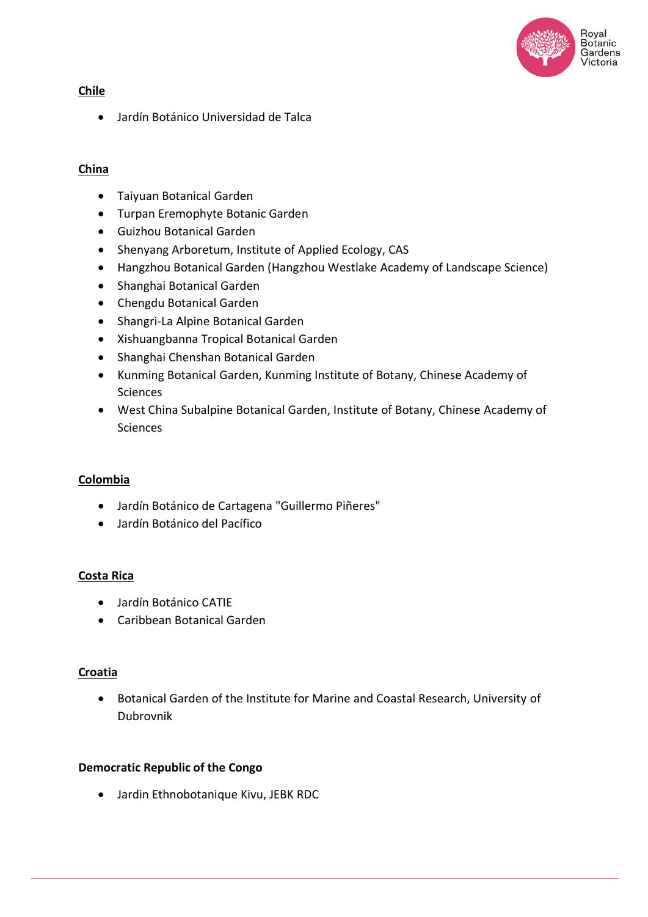

## **Chile**

• Jardín Botánico Universidad de Talca

## **China**

- Taiyuan Botanical Garden
- Turpan Eremophyte Botanic Garden
- Guizhou Botanical Garden
- Shenyang Arboretum, Institute of Applied Ecology, CAS
- Hangzhou Botanical Garden (Hangzhou Westlake Academy of Landscape Science)
- Shanghai Botanical Garden
- Chengdu Botanical Garden
- Shangri-La Alpine Botanical Garden
- Xishuangbanna Tropical Botanical Garden
- Shanghai Chenshan Botanical Garden
- Kunming Botanical Garden, Kunming Institute of Botany, Chinese Academy of Sciences
- West China Subalpine Botanical Garden, Institute of Botany, Chinese Academy of Sciences

## **Colombia**

- Jardín Botánico de Cartagena "Guillermo Piñeres"
- Jardín Botánico del Pacífico

#### **Costa Rica**

- Jardín Botánico CATIE
- Caribbean Botanical Garden

#### **Croatia**

• Botanical Garden of the Institute for Marine and Coastal Research, University of Dubrovnik

#### **Democratic Republic of the Congo**

• Jardin Ethnobotanique Kivu, JEBK RDC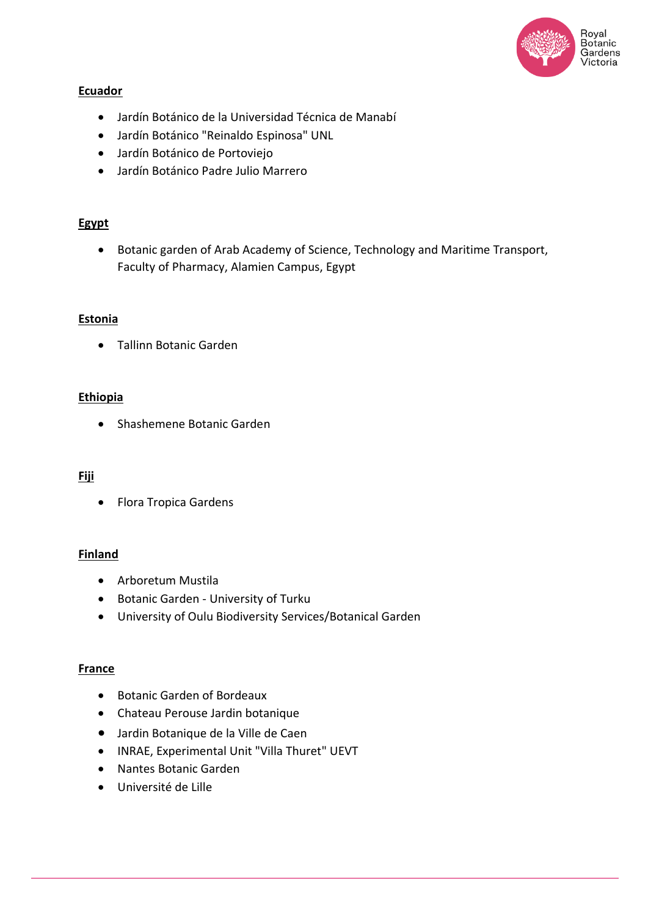

### **Ecuador**

- Jardín Botánico de la Universidad Técnica de Manabí
- Jardín Botánico "Reinaldo Espinosa" UNL
- Jardín Botánico de Portoviejo
- Jardín Botánico Padre Julio Marrero

## **Egypt**

• Botanic garden of Arab Academy of Science, Technology and Maritime Transport, Faculty of Pharmacy, Alamien Campus, Egypt

#### **Estonia**

• Tallinn Botanic Garden

#### **Ethiopia**

• Shashemene Botanic Garden

#### **Fiji**

• Flora Tropica Gardens

## **Finland**

- Arboretum Mustila
- Botanic Garden University of Turku
- University of Oulu Biodiversity Services/Botanical Garden

#### **France**

- Botanic Garden of Bordeaux
- Chateau Perouse Jardin botanique
- Jardin Botanique de la Ville de Caen
- INRAE, Experimental Unit "Villa Thuret" UEVT
- Nantes Botanic Garden
- Université de Lille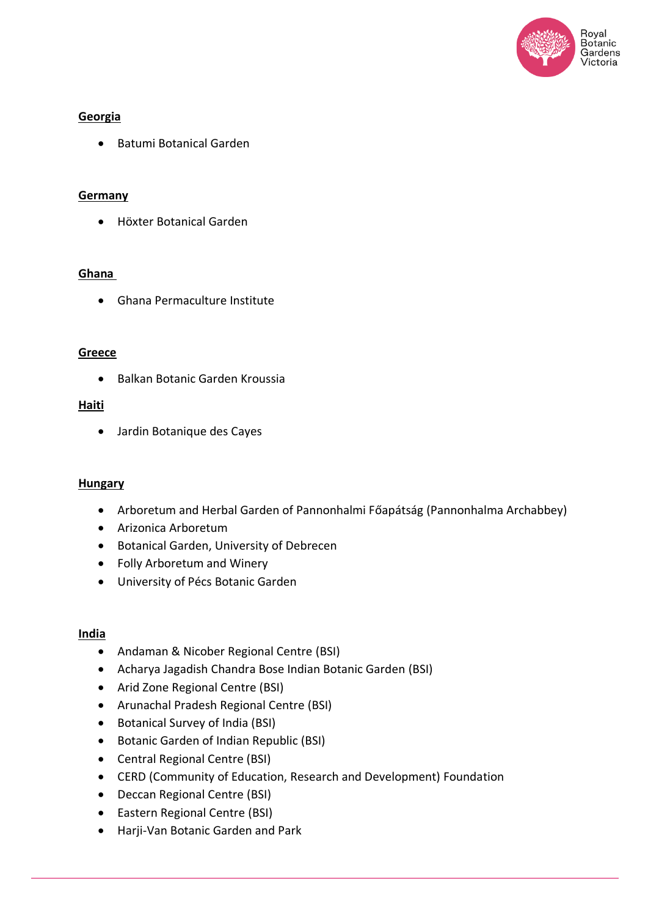

## **Georgia**

• Batumi Botanical Garden

## **Germany**

• Höxter Botanical Garden

## **Ghana**

• Ghana Permaculture Institute

## **Greece**

• Balkan Botanic Garden Kroussia

## **Haiti**

• Jardin Botanique des Cayes

#### **Hungary**

- Arboretum and Herbal Garden of Pannonhalmi Főapátság (Pannonhalma Archabbey)
- Arizonica Arboretum
- Botanical Garden, University of Debrecen
- Folly Arboretum and Winery
- University of Pécs Botanic Garden

#### **India**

- Andaman & Nicober Regional Centre (BSI)
- Acharya Jagadish Chandra Bose Indian Botanic Garden (BSI)
- Arid Zone Regional Centre (BSI)
- Arunachal Pradesh Regional Centre (BSI)
- Botanical Survey of India (BSI)
- Botanic Garden of Indian Republic (BSI)
- Central Regional Centre (BSI)
- CERD (Community of Education, Research and Development) Foundation
- Deccan Regional Centre (BSI)
- Eastern Regional Centre (BSI)
- Harji-Van Botanic Garden and Park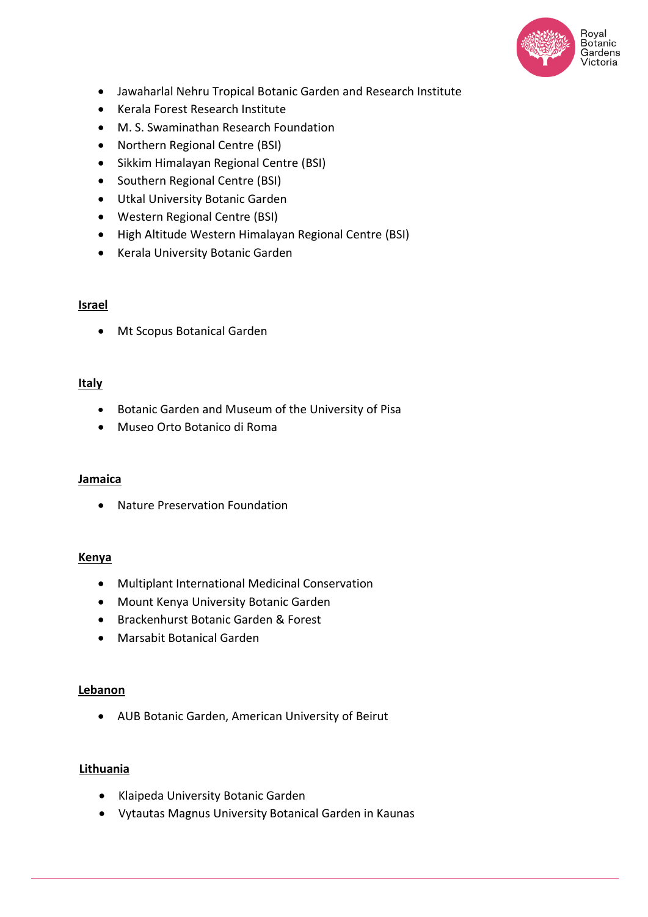

- Jawaharlal Nehru Tropical Botanic Garden and Research Institute
- Kerala Forest Research Institute
- M. S. Swaminathan Research Foundation
- Northern Regional Centre (BSI)
- Sikkim Himalayan Regional Centre (BSI)
- Southern Regional Centre (BSI)
- Utkal University Botanic Garden
- Western Regional Centre (BSI)
- High Altitude Western Himalayan Regional Centre (BSI)
- Kerala University Botanic Garden

## **Israel**

• Mt Scopus Botanical Garden

## **Italy**

- Botanic Garden and Museum of the University of Pisa
- Museo Orto Botanico di Roma

#### **Jamaica**

• Nature Preservation Foundation

#### **Kenya**

- Multiplant International Medicinal Conservation
- Mount Kenya University Botanic Garden
- Brackenhurst Botanic Garden & Forest
- Marsabit Botanical Garden

#### **Lebanon**

• AUB Botanic Garden, American University of Beirut

## **Lithuania**

- Klaipeda University Botanic Garden
- Vytautas Magnus University Botanical Garden in Kaunas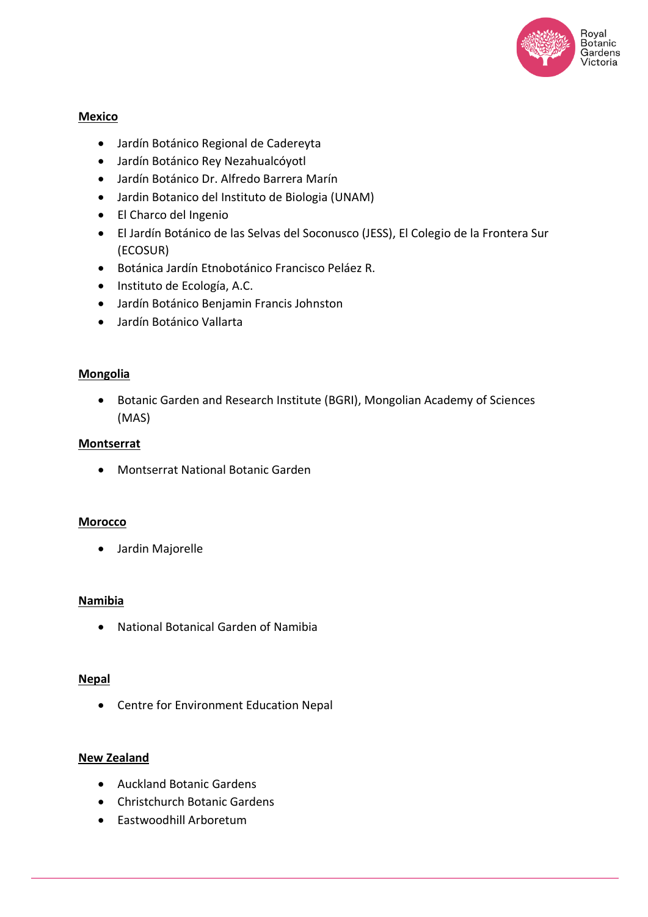

## **Mexico**

- Jardín Botánico Regional de Cadereyta
- Jardín Botánico Rey Nezahualcóyotl
- Jardín Botánico Dr. Alfredo Barrera Marín
- Jardin Botanico del Instituto de Biologia (UNAM)
- El Charco del Ingenio
- El Jardín Botánico de las Selvas del Soconusco (JESS), El Colegio de la Frontera Sur (ECOSUR)
- Botánica Jardín Etnobotánico Francisco Peláez R.
- Instituto de Ecología, A.C.
- Jardín Botánico Benjamin Francis Johnston
- Jardín Botánico Vallarta

#### **Mongolia**

• Botanic Garden and Research Institute (BGRI), Mongolian Academy of Sciences (MAS)

#### **Montserrat**

• Montserrat National Botanic Garden

#### **Morocco**

• Jardin Majorelle

#### **Namibia**

• National Botanical Garden of Namibia

#### **Nepal**

• Centre for Environment Education Nepal

#### **New Zealand**

- Auckland Botanic Gardens
- Christchurch Botanic Gardens
- Eastwoodhill Arboretum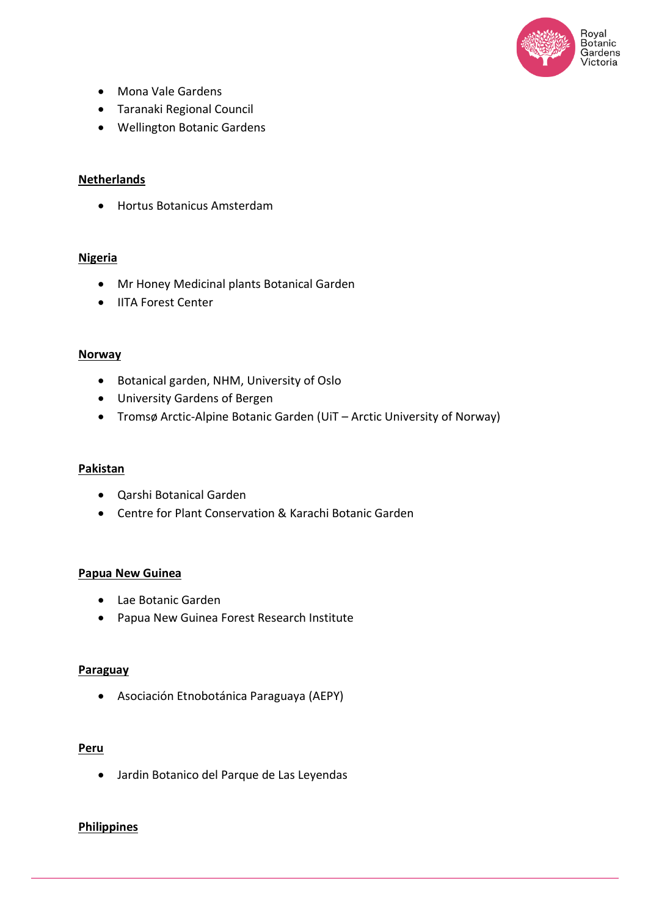

- Mona Vale Gardens
- Taranaki Regional Council
- Wellington Botanic Gardens

#### **Netherlands**

• Hortus Botanicus Amsterdam

#### **Nigeria**

- Mr Honey Medicinal plants Botanical Garden
- IITA Forest Center

#### **Norway**

- Botanical garden, NHM, University of Oslo
- University Gardens of Bergen
- Tromsø Arctic-Alpine Botanic Garden (UiT Arctic University of Norway)

#### **Pakistan**

- Qarshi Botanical Garden
- Centre for Plant Conservation & Karachi Botanic Garden

#### **Papua New Guinea**

- Lae Botanic Garden
- Papua New Guinea Forest Research Institute

#### **Paraguay**

• Asociación Etnobotánica Paraguaya (AEPY)

#### **Peru**

• Jardin Botanico del Parque de Las Leyendas

#### **Philippines**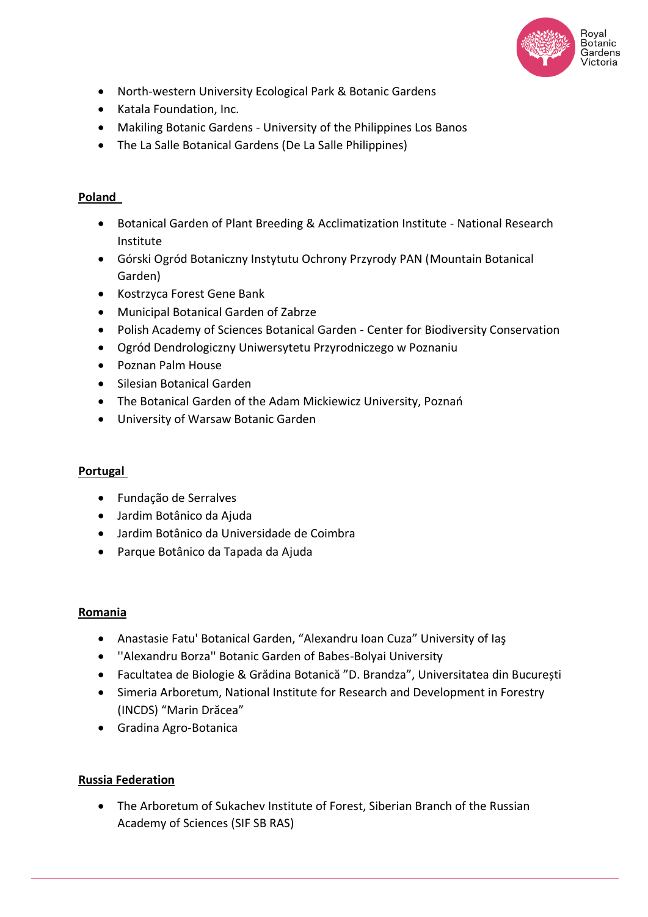

- North-western University Ecological Park & Botanic Gardens
- Katala Foundation, Inc.
- Makiling Botanic Gardens University of the Philippines Los Banos
- The La Salle Botanical Gardens (De La Salle Philippines)

# **Poland**

- Botanical Garden of Plant Breeding & Acclimatization Institute National Research Institute
- Górski Ogród Botaniczny Instytutu Ochrony Przyrody PAN (Mountain Botanical Garden)
- Kostrzyca Forest Gene Bank
- Municipal Botanical Garden of Zabrze
- Polish Academy of Sciences Botanical Garden Center for Biodiversity Conservation
- Ogród Dendrologiczny Uniwersytetu Przyrodniczego w Poznaniu
- Poznan Palm House
- Silesian Botanical Garden
- The Botanical Garden of the Adam Mickiewicz University, Poznań
- University of Warsaw Botanic Garden

# **Portugal**

- Fundação de Serralves
- Jardim Botânico da Ajuda
- Jardim Botânico da Universidade de Coimbra
- Parque Botânico da Tapada da Ajuda

## **Romania**

- Anastasie Fatu' Botanical Garden, "Alexandru Ioan Cuza" University of Iaş
- ''Alexandru Borza'' Botanic Garden of Babes-Bolyai University
- Facultatea de Biologie & Grădina Botanică "D. Brandza", Universitatea din București
- Simeria Arboretum, National Institute for Research and Development in Forestry (INCDS) "Marin Drăcea"
- Gradina Agro-Botanica

# **Russia Federation**

• The Arboretum of Sukachev Institute of Forest, Siberian Branch of the Russian Academy of Sciences (SIF SB RAS)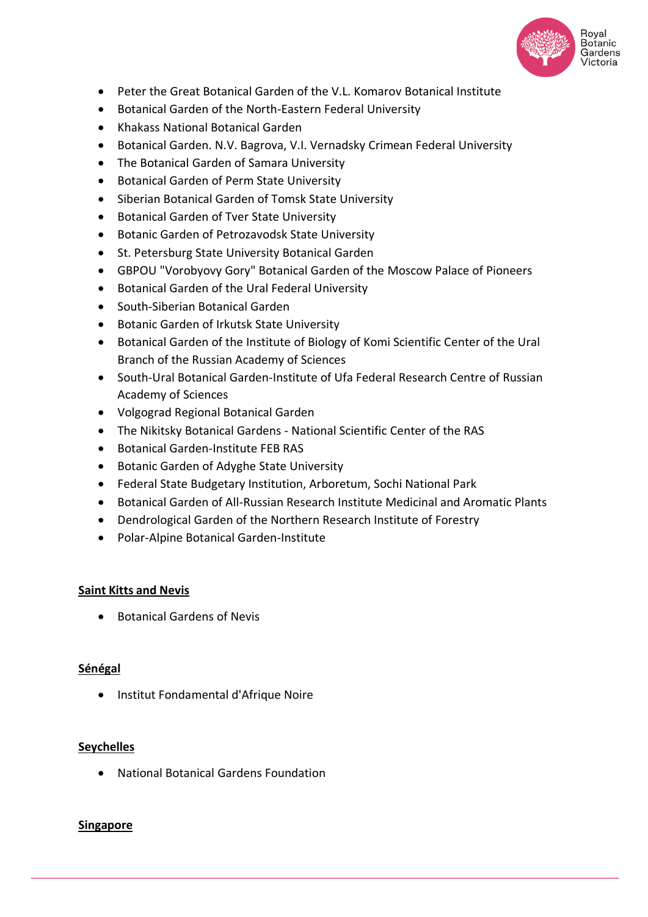

- Peter the Great Botanical Garden of the V.L. Komarov Botanical Institute
- Botanical Garden of the North-Eastern Federal University
- Khakass National Botanical Garden
- Botanical Garden. N.V. Bagrova, V.I. Vernadsky Crimean Federal University
- The Botanical Garden of Samara University
- Botanical Garden of Perm State University
- Siberian Botanical Garden of Tomsk State University
- Botanical Garden of Tver State University
- Botanic Garden of Petrozavodsk State University
- St. Petersburg State University Botanical Garden
- GBPOU "Vorobyovy Gory" Botanical Garden of the Moscow Palace of Pioneers
- Botanical Garden of the Ural Federal University
- South-Siberian Botanical Garden
- Botanic Garden of Irkutsk State University
- Botanical Garden of the Institute of Biology of Komi Scientific Center of the Ural Branch of the Russian Academy of Sciences
- South-Ural Botanical Garden-Institute of Ufa Federal Research Centre of Russian Academy of Sciences
- Volgograd Regional Botanical Garden
- The Nikitsky Botanical Gardens National Scientific Center of the RAS
- Botanical Garden-Institute FEB RAS
- Botanic Garden of Adyghe State University
- Federal State Budgetary Institution, Arboretum, Sochi National Park
- Botanical Garden of All-Russian Research Institute Medicinal and Aromatic Plants
- Dendrological Garden of the Northern Research Institute of Forestry
- Polar-Alpine Botanical Garden-Institute

## **Saint Kitts and Nevis**

• Botanical Gardens of Nevis

#### **Sénégal**

• Institut Fondamental d'Afrique Noire

#### **Seychelles**

• National Botanical Gardens Foundation

## **Singapore**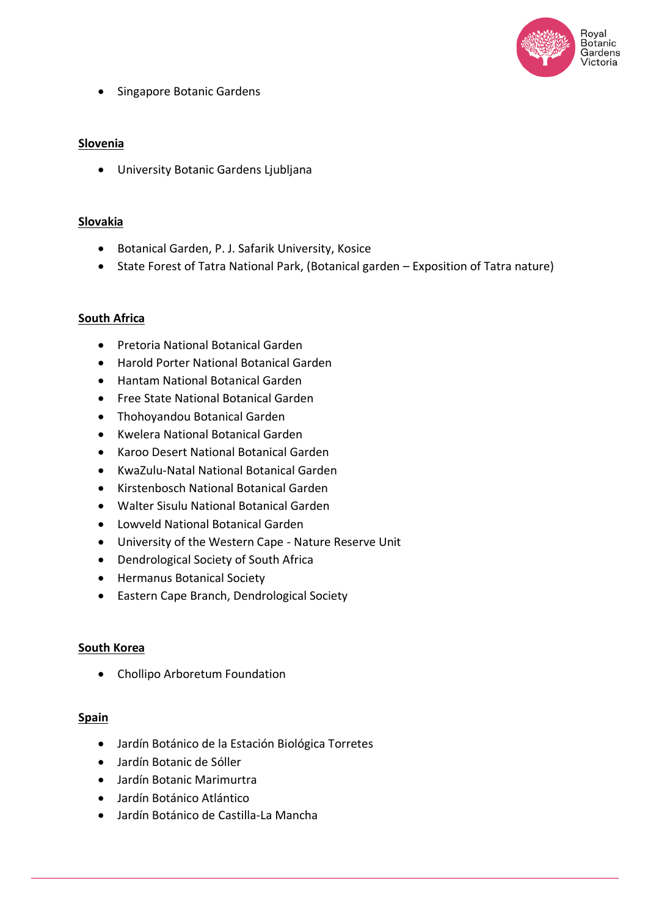

• Singapore Botanic Gardens

### **Slovenia**

• University Botanic Gardens Ljubljana

### **Slovakia**

- Botanical Garden, P. J. Safarik University, Kosice
- State Forest of Tatra National Park, (Botanical garden Exposition of Tatra nature)

## **South Africa**

- Pretoria National Botanical Garden
- Harold Porter National Botanical Garden
- Hantam National Botanical Garden
- Free State National Botanical Garden
- Thohoyandou Botanical Garden
- Kwelera National Botanical Garden
- Karoo Desert National Botanical Garden
- KwaZulu-Natal National Botanical Garden
- Kirstenbosch National Botanical Garden
- Walter Sisulu National Botanical Garden
- Lowveld National Botanical Garden
- University of the Western Cape Nature Reserve Unit
- Dendrological Society of South Africa
- Hermanus Botanical Society
- Eastern Cape Branch, Dendrological Society

#### **South Korea**

• Chollipo Arboretum Foundation

#### **Spain**

- Jardín Botánico de la Estación Biológica Torretes
- Jardín Botanic de Sóller
- Jardín Botanic Marimurtra
- Jardín Botánico Atlántico
- Jardín Botánico de Castilla-La Mancha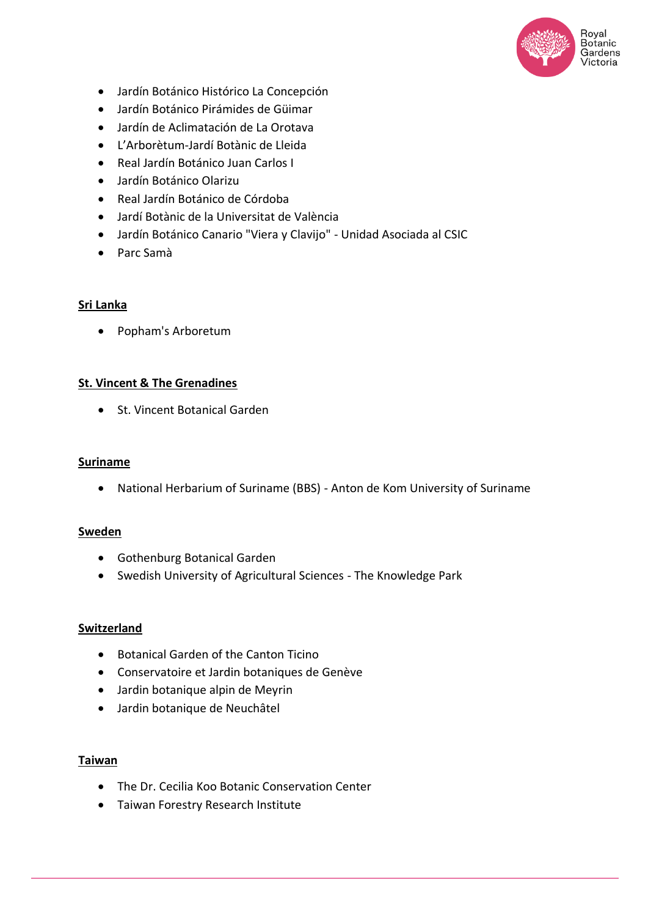

- Jardín Botánico Histórico La Concepción
- Jardín Botánico Pirámides de Güimar
- Jardín de Aclimatación de La Orotava
- L'Arborètum-Jardí Botànic de Lleida
- Real Jardín Botánico Juan Carlos I
- Jardín Botánico Olarizu
- Real Jardín Botánico de Córdoba
- Jardí Botànic de la Universitat de València
- Jardín Botánico Canario "Viera y Clavijo" Unidad Asociada al CSIC
- Parc Samà

#### **Sri Lanka**

• Popham's Arboretum

#### **St. Vincent & The Grenadines**

• St. Vincent Botanical Garden

#### **Suriname**

• National Herbarium of Suriname (BBS) - Anton de Kom University of Suriname

#### **Sweden**

- Gothenburg Botanical Garden
- Swedish University of Agricultural Sciences The Knowledge Park

#### **Switzerland**

- Botanical Garden of the Canton Ticino
- Conservatoire et Jardin botaniques de Genève
- Jardin botanique alpin de Meyrin
- Jardin botanique de Neuchâtel

## **Taiwan**

- The Dr. Cecilia Koo Botanic Conservation Center
- Taiwan Forestry Research Institute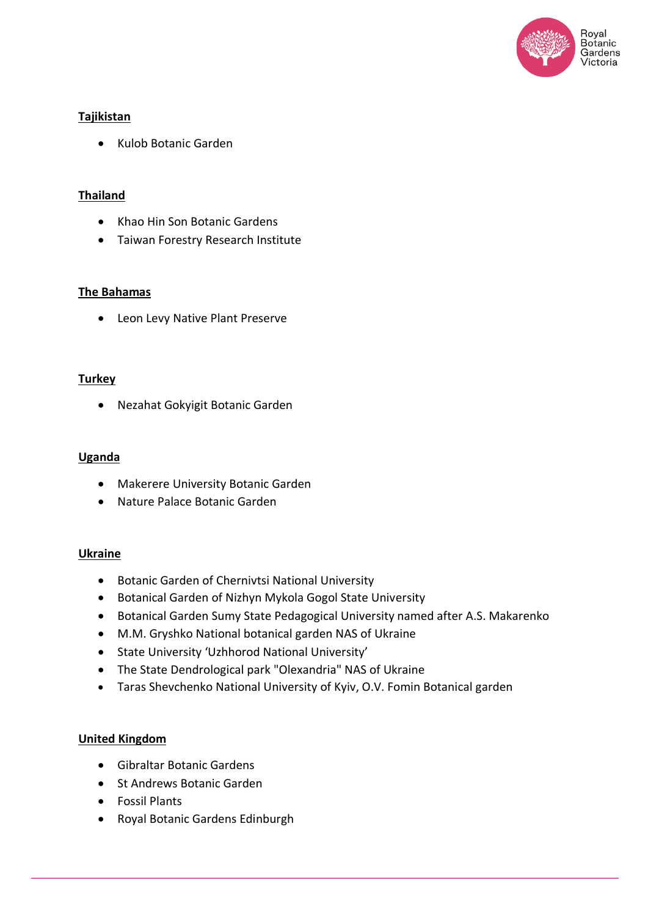

## **Tajikistan**

• Kulob Botanic Garden

## **Thailand**

- Khao Hin Son Botanic Gardens
- Taiwan Forestry Research Institute

#### **The Bahamas**

• Leon Levy Native Plant Preserve

#### **Turkey**

• Nezahat Gokyigit Botanic Garden

#### **Uganda**

- Makerere University Botanic Garden
- Nature Palace Botanic Garden

#### **Ukraine**

- Botanic Garden of Chernivtsi National University
- Botanical Garden of Nizhyn Mykola Gogol State University
- Botanical Garden Sumy State Pedagogical University named after A.S. Makarenko
- M.M. Gryshko National botanical garden NAS of Ukraine
- State University 'Uzhhorod National University'
- The State Dendrological park "Olexandria" NAS of Ukraine
- Taras Shevchenko National University of Kyiv, O.V. Fomin Botanical garden

#### **United Kingdom**

- Gibraltar Botanic Gardens
- St Andrews Botanic Garden
- Fossil Plants
- Royal Botanic Gardens Edinburgh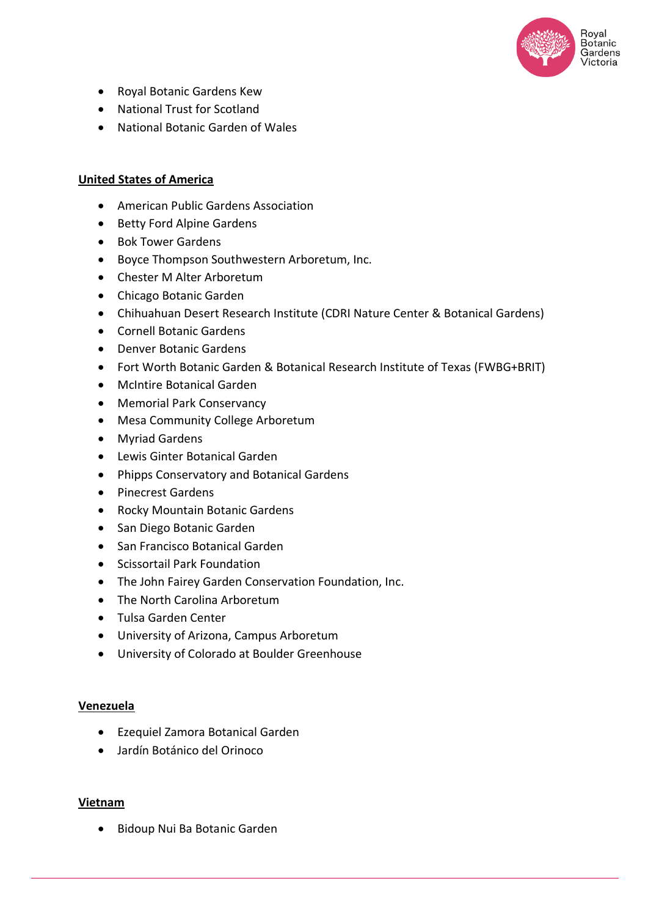

- Royal Botanic Gardens Kew
- National Trust for Scotland
- National Botanic Garden of Wales

### **United States of America**

- American Public Gardens Association
- Betty Ford Alpine Gardens
- Bok Tower Gardens
- Boyce Thompson Southwestern Arboretum, Inc.
- Chester M Alter Arboretum
- Chicago Botanic Garden
- Chihuahuan Desert Research Institute (CDRI Nature Center & Botanical Gardens)
- Cornell Botanic Gardens
- Denver Botanic Gardens
- Fort Worth Botanic Garden & Botanical Research Institute of Texas (FWBG+BRIT)
- McIntire Botanical Garden
- Memorial Park Conservancy
- Mesa Community College Arboretum
- Myriad Gardens
- Lewis Ginter Botanical Garden
- Phipps Conservatory and Botanical Gardens
- Pinecrest Gardens
- Rocky Mountain Botanic Gardens
- San Diego Botanic Garden
- San Francisco Botanical Garden
- Scissortail Park Foundation
- The John Fairey Garden Conservation Foundation, Inc.
- The North Carolina Arboretum
- Tulsa Garden Center
- University of Arizona, Campus Arboretum
- University of Colorado at Boulder Greenhouse

#### **Venezuela**

- Ezequiel Zamora Botanical Garden
- Jardín Botánico del Orinoco

#### **Vietnam**

• Bidoup Nui Ba Botanic Garden